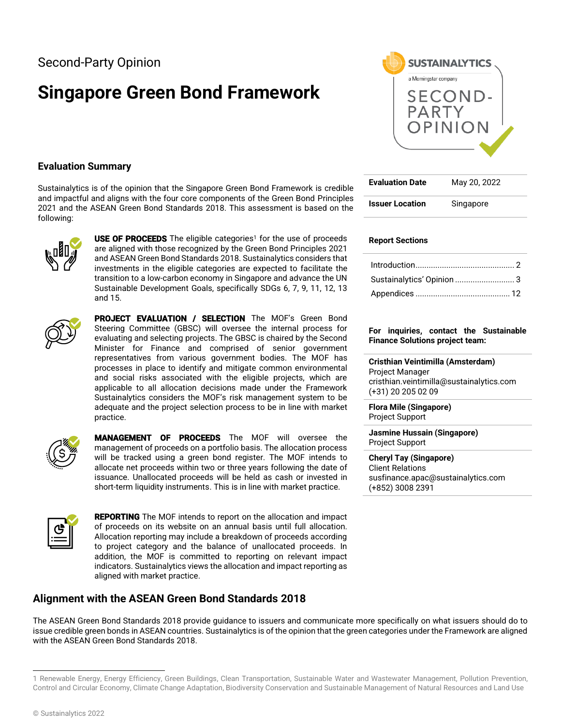# **Singapore Green Bond Framework**



Sustainalytics is of the opinion that the Singapore Green Bond Framework is credible and impactful and aligns with the four core components of the Green Bond Principles 2021 and the ASEAN Green Bond Standards 2018. This assessment is based on the following:



**USE OF PROCEEDS** The eligible categories<sup>1</sup> for the use of proceeds are aligned with those recognized by the Green Bond Principles 2021 and ASEAN Green Bond Standards 2018. Sustainalytics considers that investments in the eligible categories are expected to facilitate the transition to a low-carbon economy in Singapore and advance the UN Sustainable Development Goals, specifically SDGs 6, 7, 9, 11, 12, 13 and 15.



PROJECT EVALUATION / SELECTION The MOF's Green Bond Steering Committee (GBSC) will oversee the internal process for evaluating and selecting projects. The GBSC is chaired by the Second Minister for Finance and comprised of senior government representatives from various government bodies. The MOF has processes in place to identify and mitigate common environmental and social risks associated with the eligible projects, which are applicable to all allocation decisions made under the Framework Sustainalytics considers the MOF's risk management system to be adequate and the project selection process to be in line with market practice.



MANAGEMENT OF PROCEEDS The MOF will oversee the management of proceeds on a portfolio basis. The allocation process will be tracked using a green bond register. The MOF intends to allocate net proceeds within two or three years following the date of issuance. Unallocated proceeds will be held as cash or invested in short-term liquidity instruments. This is in line with market practice.



**REPORTING** The MOF intends to report on the allocation and impact of proceeds on its website on an annual basis until full allocation. Allocation reporting may include a breakdown of proceeds according to project category and the balance of unallocated proceeds. In addition, the MOF is committed to reporting on relevant impact indicators. Sustainalytics views the allocation and impact reporting as aligned with market practice.

# **Alignment with the ASEAN Green Bond Standards 2018**

The ASEAN Green Bond Standards 2018 provide guidance to issuers and communicate more specifically on what issuers should do to issue credible green bonds in ASEAN countries. Sustainalytics is of the opinion that the green categories under the Framework are aligned with the ASEAN Green Bond Standards 2018.



| <b>Evaluation Date</b> | May 20, 2022 |
|------------------------|--------------|
| <b>Issuer Location</b> | Singapore    |

# **Report Sections**

| Sustainalytics' Opinion  3 |  |
|----------------------------|--|
|                            |  |

## **For inquiries, contact the Sustainable Finance Solutions project team:**

**Cristhian Veintimilla (Amsterdam)** Project Manager cristhian.veintimilla@sustainalytics.com (+31) 20 205 02 09

**Flora Mile (Singapore)** Project Support

**Jasmine Hussain (Singapore)** Project Support

## **Cheryl Tay (Singapore)**

Client Relations susfinance.apac@sustainalytics.com (+852) 3008 2391

<sup>1</sup> Renewable Energy, Energy Efficiency, Green Buildings, Clean Transportation, Sustainable Water and Wastewater Management, Pollution Prevention, Control and Circular Economy, Climate Change Adaptation, Biodiversity Conservation and Sustainable Management of Natural Resources and Land Use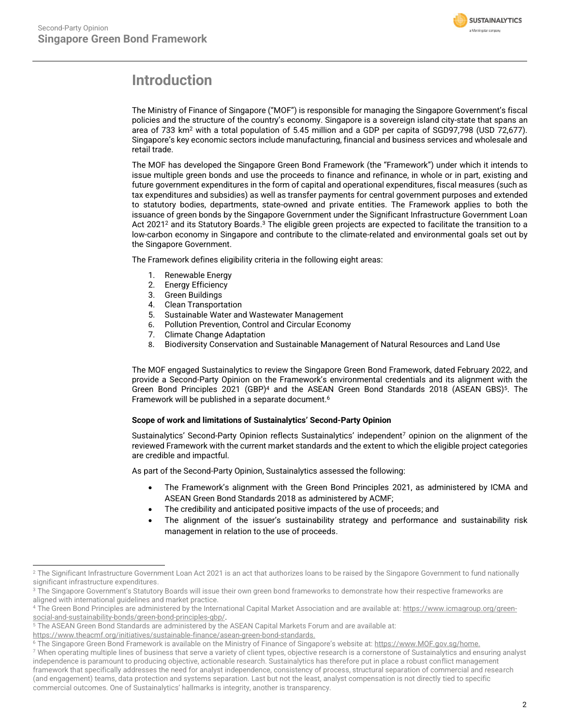

# <span id="page-1-0"></span>**Introduction**

The Ministry of Finance of Singapore ("MOF") is responsible for managing the Singapore Government's fiscal policies and the structure of the country's economy. Singapore is a sovereign island city-state that spans an area of 733 km<sup>2</sup> with a total population of 5.45 million and a GDP per capita of SGD97,798 (USD 72,677). Singapore's key economic sectors include manufacturing, financial and business services and wholesale and retail trade.

The MOF has developed the Singapore Green Bond Framework (the "Framework") under which it intends to issue multiple green bonds and use the proceeds to finance and refinance, in whole or in part, existing and future government expenditures in the form of capital and operational expenditures, fiscal measures (such as tax expenditures and subsidies) as well as transfer payments for central government purposes and extended to statutory bodies, departments, state-owned and private entities. The Framework applies to both the issuance of green bonds by the Singapore Government under the Significant Infrastructure Government Loan Act 2021<sup>2</sup> and its Statutory Boards.<sup>3</sup> The eligible green projects are expected to facilitate the transition to a low-carbon economy in Singapore and contribute to the climate-related and environmental goals set out by the Singapore Government.

The Framework defines eligibility criteria in the following eight areas:

- 1. Renewable Energy
- 2. Energy Efficiency
- 3. Green Buildings
- 4. Clean Transportation
- 5. Sustainable Water and Wastewater Management
- 6. Pollution Prevention, Control and Circular Economy<br>7. Climate Change Adaptation
- **Climate Change Adaptation**
- 8. Biodiversity Conservation and Sustainable Management of Natural Resources and Land Use

The MOF engaged Sustainalytics to review the Singapore Green Bond Framework, dated February 2022, and provide a Second-Party Opinion on the Framework's environmental credentials and its alignment with the Green Bond Principles 2021 (GBP)<sup>4</sup> and the ASEAN Green Bond Standards 2018 (ASEAN GBS)<sup>5</sup>. The Framework will be published in a separate document. 6

# **Scope of work and limitations of Sustainalytics' Second-Party Opinion**

Sustainalytics' Second-Party Opinion reflects Sustainalytics' independent<sup>7</sup> opinion on the alignment of the reviewed Framework with the current market standards and the extent to which the eligible project categories are credible and impactful.

As part of the Second-Party Opinion, Sustainalytics assessed the following:

- The Framework's alignment with the Green Bond Principles 2021, as administered by ICMA and ASEAN Green Bond Standards 2018 as administered by ACMF;
- The credibility and anticipated positive impacts of the use of proceeds; and
- The alignment of the issuer's sustainability strategy and performance and sustainability risk management in relation to the use of proceeds.

<sup>7</sup> When operating multiple lines of business that serve a variety of client types, objective research is a cornerstone of Sustainalytics and ensuring analyst independence is paramount to producing objective, actionable research. Sustainalytics has therefore put in place a robust conflict management framework that specifically addresses the need for analyst independence, consistency of process, structural separation of commercial and research (and engagement) teams, data protection and systems separation. Last but not the least, analyst compensation is not directly tied to specific commercial outcomes. One of Sustainalytics' hallmarks is integrity, another is transparency.

<sup>&</sup>lt;sup>2</sup> The Significant Infrastructure Government Loan Act 2021 is an act that authorizes loans to be raised by the Singapore Government to fund nationally significant infrastructure expenditures.

<sup>&</sup>lt;sup>3</sup> The Singapore Government's Statutory Boards will issue their own green bond frameworks to demonstrate how their respective frameworks are aligned with international guidelines and market practice.

<sup>4</sup> The Green Bond Principles are administered by the International Capital Market Association and are available at: [https://www.icmagroup.org/green](https://www.icmagroup.org/green-social-and-sustainability-bonds/green-bond-principles-gbp/)[social-and-sustainability-bonds/green-bond-principles-gbp/.](https://www.icmagroup.org/green-social-and-sustainability-bonds/green-bond-principles-gbp/)

<sup>5</sup> The ASEAN Green Bond Standards are administered by the ASEAN Capital Markets Forum and are available at:

[https://www.theacmf.org/initiatives/sustainable-finance/asean-green-bond-standards.](https://www.theacmf.org/initiatives/sustainable-finance/asean-green-bond-standards)

<sup>&</sup>lt;sup>6</sup> The Singapore Green Bond Framework is available on the Ministry of Finance of Singapore's website at: [https://www.MOF.gov.sg/home.](https://www.mof.gov.sg/home)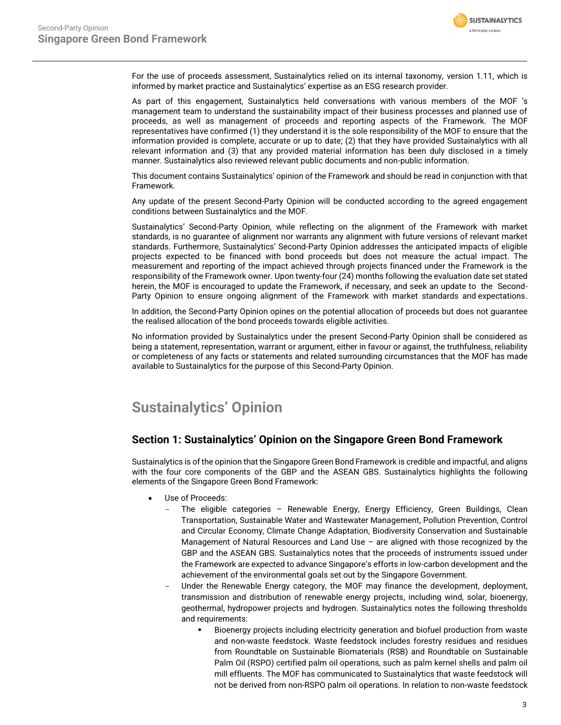

For the use of proceeds assessment, Sustainalytics relied on its internal taxonomy, version 1.11, which is informed by market practice and Sustainalytics' expertise as an ESG research provider.

As part of this engagement, Sustainalytics held conversations with various members of the MOF 's management team to understand the sustainability impact of their business processes and planned use of proceeds, as well as management of proceeds and reporting aspects of the Framework. The MOF representatives have confirmed (1) they understand it is the sole responsibility of the MOF to ensure that the information provided is complete, accurate or up to date; (2) that they have provided Sustainalytics with all relevant information and (3) that any provided material information has been duly disclosed in a timely manner. Sustainalytics also reviewed relevant public documents and non-public information.

This document contains Sustainalytics' opinion of the Framework and should be read in conjunction with that Framework.

Any update of the present Second-Party Opinion will be conducted according to the agreed engagement conditions between Sustainalytics and the MOF.

Sustainalytics' Second-Party Opinion, while reflecting on the alignment of the Framework with market standards, is no guarantee of alignment nor warrants any alignment with future versions of relevant market standards. Furthermore, Sustainalytics' Second-Party Opinion addresses the anticipated impacts of eligible projects expected to be financed with bond proceeds but does not measure the actual impact. The measurement and reporting of the impact achieved through projects financed under the Framework is the responsibility of the Framework owner. Upon twenty-four (24) months following the evaluation date set stated herein, the MOF is encouraged to update the Framework, if necessary, and seek an update to the Second-Party Opinion to ensure ongoing alignment of the Framework with market standards and expectations.

In addition, the Second-Party Opinion opines on the potential allocation of proceeds but does not guarantee the realised allocation of the bond proceeds towards eligible activities.

No information provided by Sustainalytics under the present Second-Party Opinion shall be considered as being a statement, representation, warrant or argument, either in favour or against, the truthfulness, reliability or completeness of any facts or statements and related surrounding circumstances that the MOF has made available to Sustainalytics for the purpose of this Second-Party Opinion.

# <span id="page-2-0"></span>**Sustainalytics' Opinion**

# **Section 1: Sustainalytics' Opinion on the Singapore Green Bond Framework**

Sustainalytics is of the opinion that the Singapore Green Bond Framework is credible and impactful, and aligns with the four core components of the GBP and the ASEAN GBS. Sustainalytics highlights the following elements of the Singapore Green Bond Framework:

- Use of Proceeds:
	- The eligible categories Renewable Energy, Energy Efficiency, Green Buildings, Clean Transportation, Sustainable Water and Wastewater Management, Pollution Prevention, Control and Circular Economy, Climate Change Adaptation, Biodiversity Conservation and Sustainable Management of Natural Resources and Land Use – are aligned with those recognized by the GBP and the ASEAN GBS. Sustainalytics notes that the proceeds of instruments issued under the Framework are expected to advance Singapore's efforts in low-carbon development and the achievement of the environmental goals set out by the Singapore Government.
	- Under the Renewable Energy category, the MOF may finance the development, deployment, transmission and distribution of renewable energy projects, including wind, solar, bioenergy, geothermal, hydropower projects and hydrogen. Sustainalytics notes the following thresholds and requirements:
		- Bioenergy projects including electricity generation and biofuel production from waste and non-waste feedstock. Waste feedstock includes forestry residues and residues from Roundtable on Sustainable Biomaterials (RSB) and Roundtable on Sustainable Palm Oil (RSPO) certified palm oil operations, such as palm kernel shells and palm oil mill effluents. The MOF has communicated to Sustainalytics that waste feedstock will not be derived from non-RSPO palm oil operations. In relation to non-waste feedstock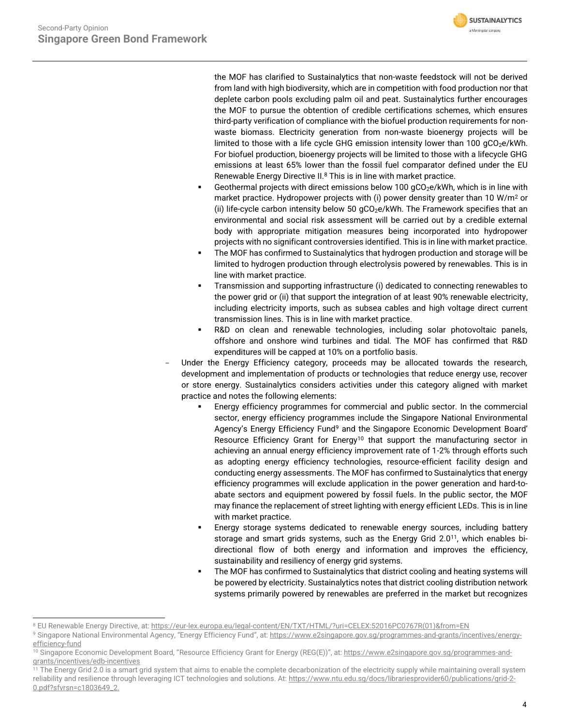

the MOF has clarified to Sustainalytics that non-waste feedstock will not be derived from land with high biodiversity, which are in competition with food production nor that deplete carbon pools excluding palm oil and peat. Sustainalytics further encourages the MOF to pursue the obtention of credible certifications schemes, which ensures third-party verification of compliance with the biofuel production requirements for nonwaste biomass. Electricity generation from non-waste bioenergy projects will be limited to those with a life cycle GHG emission intensity lower than  $100 \text{ gCO}_2$ e/kWh. For biofuel production, bioenergy projects will be limited to those with a lifecycle GHG emissions at least 65% lower than the fossil fuel comparator defined under the EU Renewable Energy Directive II.<sup>8</sup> This is in line with market practice.

- Geothermal projects with direct emissions below 100  $qCO_2e/kWh$ , which is in line with market practice. Hydropower projects with (i) power density greater than 10 W/m<sup>2</sup> or (ii) life-cycle carbon intensity below 50  $qCO<sub>2</sub>e/kWh$ . The Framework specifies that an environmental and social risk assessment will be carried out by a credible external body with appropriate mitigation measures being incorporated into hydropower projects with no significant controversies identified. This is in line with market practice.
- The MOF has confirmed to Sustainalytics that hydrogen production and storage will be limited to hydrogen production through electrolysis powered by renewables. This is in line with market practice.
- Transmission and supporting infrastructure (i) dedicated to connecting renewables to the power grid or (ii) that support the integration of at least 90% renewable electricity, including electricity imports, such as subsea cables and high voltage direct current transmission lines. This is in line with market practice.
- R&D on clean and renewable technologies, including solar photovoltaic panels, offshore and onshore wind turbines and tidal. The MOF has confirmed that R&D expenditures will be capped at 10% on a portfolio basis.
- Under the Energy Efficiency category, proceeds may be allocated towards the research, development and implementation of products or technologies that reduce energy use, recover or store energy. Sustainalytics considers activities under this category aligned with market practice and notes the following elements:
	- Energy efficiency programmes for commercial and public sector. In the commercial sector, energy efficiency programmes include the Singapore National Environmental Agency's Energy Efficiency Fund<sup>9</sup> and the Singapore Economic Development Board' Resource Efficiency Grant for Energy<sup>10</sup> that support the manufacturing sector in achieving an annual energy efficiency improvement rate of 1-2% through efforts such as adopting energy efficiency technologies, resource-efficient facility design and conducting energy assessments. The MOF has confirmed to Sustainalytics that energy efficiency programmes will exclude application in the power generation and hard-toabate sectors and equipment powered by fossil fuels. In the public sector, the MOF may finance the replacement of street lighting with energy efficient LEDs. This is in line with market practice.
	- Energy storage systems dedicated to renewable energy sources, including battery storage and smart grids systems, such as the Energy Grid 2.0<sup>11</sup>, which enables bidirectional flow of both energy and information and improves the efficiency, sustainability and resiliency of energy grid systems.
	- The MOF has confirmed to Sustainalytics that district cooling and heating systems will be powered by electricity. Sustainalytics notes that district cooling distribution network systems primarily powered by renewables are preferred in the market but recognizes

<sup>8</sup> EU Renewable Energy Directive, at[: https://eur-lex.europa.eu/legal-content/EN/TXT/HTML/?uri=CELEX:52016PC0767R\(01\)&from=EN](https://eur-lex.europa.eu/legal-content/EN/TXT/HTML/?uri=CELEX:52016PC0767R(01)&from=EN)

<sup>9</sup> Singapore National Environmental Agency, "Energy Efficiency Fund", at: [https://www.e2singapore.gov.sg/programmes-and-grants/incentives/energy](https://www.e2singapore.gov.sg/programmes-and-grants/incentives/energy-efficiency-fund)[efficiency-fund](https://www.e2singapore.gov.sg/programmes-and-grants/incentives/energy-efficiency-fund)

<sup>&</sup>lt;sup>10</sup> Singapore Economic Development Board, "Resource Efficiency Grant for Energy (REG(E))", at: [https://www.e2singapore.gov.sg/programmes-and](https://www.e2singapore.gov.sg/programmes-and-grants/incentives/edb-incentives)[grants/incentives/edb-incentives](https://www.e2singapore.gov.sg/programmes-and-grants/incentives/edb-incentives)

<sup>&</sup>lt;sup>11</sup> The Energy Grid 2.0 is a smart grid system that aims to enable the complete decarbonization of the electricity supply while maintaining overall system reliability and resilience through leveraging ICT technologies and solutions. At[: https://www.ntu.edu.sg/docs/librariesprovider60/publications/grid-2-](https://www.ntu.edu.sg/docs/librariesprovider60/publications/grid-2-0.pdf?sfvrsn=c1803649_2) [0.pdf?sfvrsn=c1803649\\_2.](https://www.ntu.edu.sg/docs/librariesprovider60/publications/grid-2-0.pdf?sfvrsn=c1803649_2)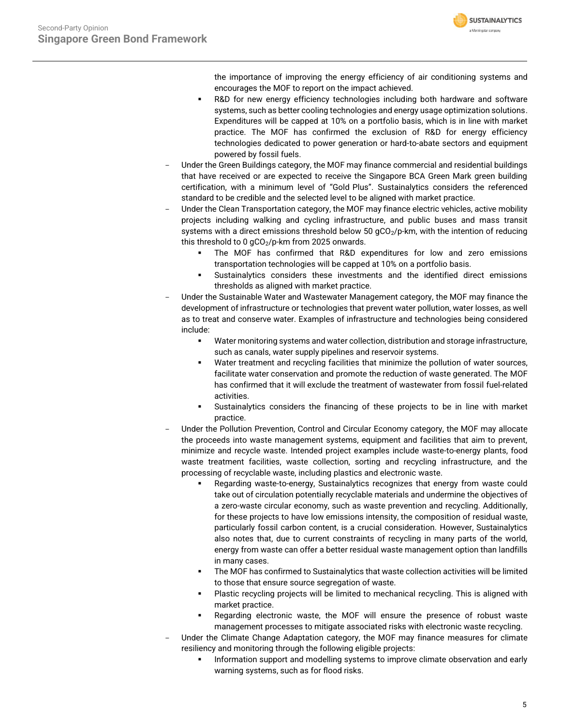

the importance of improving the energy efficiency of air conditioning systems and encourages the MOF to report on the impact achieved.

- R&D for new energy efficiency technologies including both hardware and software systems, such as better cooling technologies and energy usage optimization solutions. Expenditures will be capped at 10% on a portfolio basis, which is in line with market practice. The MOF has confirmed the exclusion of R&D for energy efficiency technologies dedicated to power generation or hard-to-abate sectors and equipment powered by fossil fuels.
- Under the Green Buildings category, the MOF may finance commercial and residential buildings that have received or are expected to receive the Singapore BCA Green Mark green building certification, with a minimum level of "Gold Plus". Sustainalytics considers the referenced standard to be credible and the selected level to be aligned with market practice.
- Under the Clean Transportation category, the MOF may finance electric vehicles, active mobility projects including walking and cycling infrastructure, and public buses and mass transit systems with a direct emissions threshold below 50 gCO<sub>2</sub>/p-km, with the intention of reducing this threshold to 0  $gCO<sub>2</sub>/p$ -km from 2025 onwards.
	- The MOF has confirmed that R&D expenditures for low and zero emissions transportation technologies will be capped at 10% on a portfolio basis.
	- Sustainalytics considers these investments and the identified direct emissions thresholds as aligned with market practice.
- Under the Sustainable Water and Wastewater Management category, the MOF may finance the development of infrastructure or technologies that prevent water pollution, water losses, as well as to treat and conserve water. Examples of infrastructure and technologies being considered include:
	- Water monitoring systems and water collection, distribution and storage infrastructure, such as canals, water supply pipelines and reservoir systems.
	- Water treatment and recycling facilities that minimize the pollution of water sources, facilitate water conservation and promote the reduction of waste generated. The MOF has confirmed that it will exclude the treatment of wastewater from fossil fuel-related activities.
	- Sustainalytics considers the financing of these projects to be in line with market practice.
- Under the Pollution Prevention, Control and Circular Economy category, the MOF may allocate the proceeds into waste management systems, equipment and facilities that aim to prevent, minimize and recycle waste. Intended project examples include waste-to-energy plants, food waste treatment facilities, waste collection, sorting and recycling infrastructure, and the processing of recyclable waste, including plastics and electronic waste.
	- Regarding waste-to-energy, Sustainalytics recognizes that energy from waste could take out of circulation potentially recyclable materials and undermine the objectives of a zero-waste circular economy, such as waste prevention and recycling. Additionally, for these projects to have low emissions intensity, the composition of residual waste, particularly fossil carbon content, is a crucial consideration. However, Sustainalytics also notes that, due to current constraints of recycling in many parts of the world, energy from waste can offer a better residual waste management option than landfills in many cases.
	- The MOF has confirmed to Sustainalytics that waste collection activities will be limited to those that ensure source segregation of waste.
	- Plastic recycling projects will be limited to mechanical recycling. This is aligned with market practice.
	- Regarding electronic waste, the MOF will ensure the presence of robust waste management processes to mitigate associated risks with electronic waste recycling.
- Under the Climate Change Adaptation category, the MOF may finance measures for climate resiliency and monitoring through the following eligible projects:
	- Information support and modelling systems to improve climate observation and early warning systems, such as for flood risks.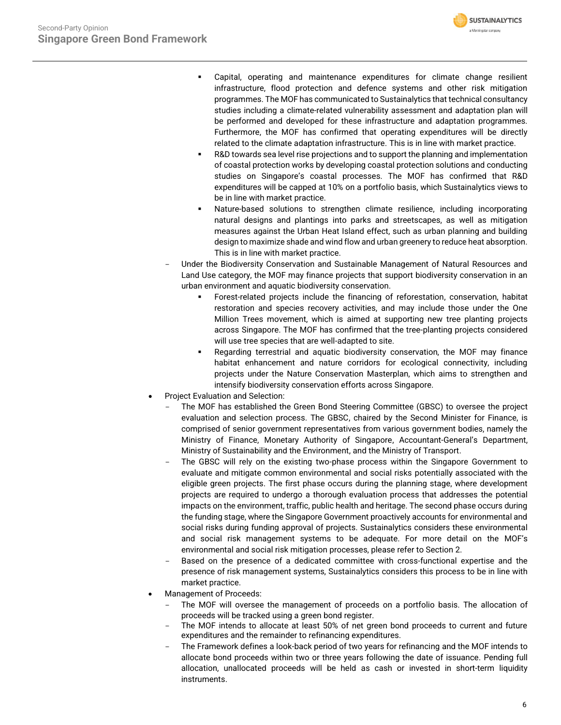

- Capital, operating and maintenance expenditures for climate change resilient infrastructure, flood protection and defence systems and other risk mitigation programmes. The MOF has communicated to Sustainalytics that technical consultancy studies including a climate-related vulnerability assessment and adaptation plan will be performed and developed for these infrastructure and adaptation programmes. Furthermore, the MOF has confirmed that operating expenditures will be directly related to the climate adaptation infrastructure. This is in line with market practice.
- R&D towards sea level rise projections and to support the planning and implementation of coastal protection works by developing coastal protection solutions and conducting studies on Singapore's coastal processes. The MOF has confirmed that R&D expenditures will be capped at 10% on a portfolio basis, which Sustainalytics views to be in line with market practice.
- Nature-based solutions to strengthen climate resilience, including incorporating natural designs and plantings into parks and streetscapes, as well as mitigation measures against the Urban Heat Island effect, such as urban planning and building design to maximize shade and wind flow and urban greenery to reduce heat absorption. This is in line with market practice.
- Under the Biodiversity Conservation and Sustainable Management of Natural Resources and Land Use category, the MOF may finance projects that support biodiversity conservation in an urban environment and aquatic biodiversity conservation.
	- Forest-related projects include the financing of reforestation, conservation, habitat restoration and species recovery activities, and may include those under the One Million Trees movement, which is aimed at supporting new tree planting projects across Singapore. The MOF has confirmed that the tree-planting projects considered will use tree species that are well-adapted to site.
	- Regarding terrestrial and aquatic biodiversity conservation, the MOF may finance habitat enhancement and nature corridors for ecological connectivity, including projects under the Nature Conservation Masterplan, which aims to strengthen and intensify biodiversity conservation efforts across Singapore.
- Project Evaluation and Selection:
	- The MOF has established the Green Bond Steering Committee (GBSC) to oversee the project evaluation and selection process. The GBSC, chaired by the Second Minister for Finance, is comprised of senior government representatives from various government bodies, namely the Ministry of Finance, Monetary Authority of Singapore, Accountant-General's Department, Ministry of Sustainability and the Environment, and the Ministry of Transport.
	- The GBSC will rely on the existing two-phase process within the Singapore Government to evaluate and mitigate common environmental and social risks potentially associated with the eligible green projects. The first phase occurs during the planning stage, where development projects are required to undergo a thorough evaluation process that addresses the potential impacts on the environment, traffic, public health and heritage. The second phase occurs during the funding stage, where the Singapore Government proactively accounts for environmental and social risks during funding approval of projects. Sustainalytics considers these environmental and social risk management systems to be adequate. For more detail on the MOF's environmental and social risk mitigation processes, please refer to Section 2.
	- Based on the presence of a dedicated committee with cross-functional expertise and the presence of risk management systems, Sustainalytics considers this process to be in line with market practice.
- Management of Proceeds:
	- The MOF will oversee the management of proceeds on a portfolio basis. The allocation of proceeds will be tracked using a green bond register.
	- The MOF intends to allocate at least 50% of net green bond proceeds to current and future expenditures and the remainder to refinancing expenditures.
	- The Framework defines a look-back period of two years for refinancing and the MOF intends to allocate bond proceeds within two or three years following the date of issuance. Pending full allocation, unallocated proceeds will be held as cash or invested in short-term liquidity instruments.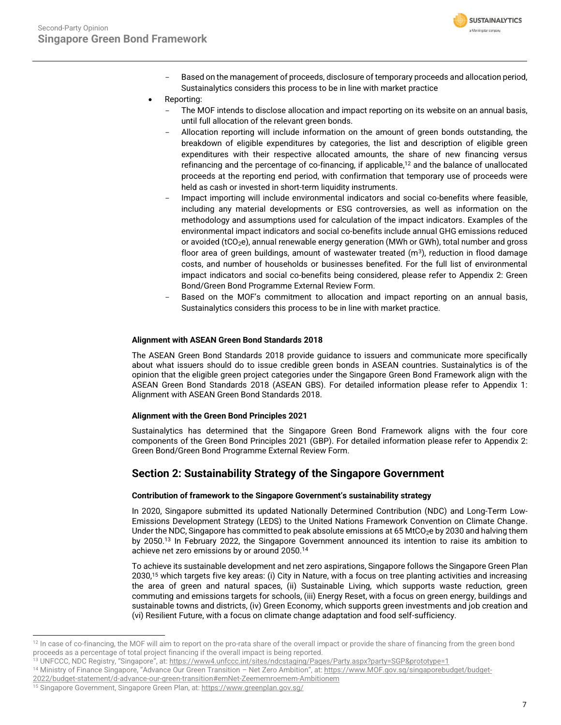

- Based on the management of proceeds, disclosure of temporary proceeds and allocation period, Sustainalytics considers this process to be in line with market practice
- Reporting:
	- The MOF intends to disclose allocation and impact reporting on its website on an annual basis, until full allocation of the relevant green bonds.
	- Allocation reporting will include information on the amount of green bonds outstanding, the breakdown of eligible expenditures by categories, the list and description of eligible green expenditures with their respective allocated amounts, the share of new financing versus refinancing and the percentage of co-financing, if applicable,<sup>12</sup> and the balance of unallocated proceeds at the reporting end period, with confirmation that temporary use of proceeds were held as cash or invested in short-term liquidity instruments.
	- Impact importing will include environmental indicators and social co-benefits where feasible, including any material developments or ESG controversies, as well as information on the methodology and assumptions used for calculation of the impact indicators. Examples of the environmental impact indicators and social co-benefits include annual GHG emissions reduced or avoided (tCO<sub>2</sub>e), annual renewable energy generation (MWh or GWh), total number and gross floor area of green buildings, amount of wastewater treated  $(m<sup>3</sup>)$ , reduction in flood damage costs, and number of households or businesses benefited. For the full list of environmental impact indicators and social co-benefits being considered, please refer to Appendix 2: Green Bond/Green Bond Programme External Review Form.
	- Based on the MOF's commitment to allocation and impact reporting on an annual basis, Sustainalytics considers this process to be in line with market practice.

# **Alignment with ASEAN Green Bond Standards 2018**

The ASEAN Green Bond Standards 2018 provide guidance to issuers and communicate more specifically about what issuers should do to issue credible green bonds in ASEAN countries. Sustainalytics is of the opinion that the eligible green project categories under the Singapore Green Bond Framework align with the ASEAN Green Bond Standards 2018 (ASEAN GBS). For detailed information please refer to Appendix 1: Alignment with ASEAN Green Bond Standards 2018.

## **Alignment with the Green Bond Principles 2021**

Sustainalytics has determined that the Singapore Green Bond Framework aligns with the four core components of the Green Bond Principles 2021 (GBP). For detailed information please refer to Appendix 2: Green Bond/Green Bond Programme External Review Form.

# **Section 2: Sustainability Strategy of the Singapore Government**

# **Contribution of framework to the Singapore Government's sustainability strategy**

In 2020, Singapore submitted its updated Nationally Determined Contribution (NDC) and Long-Term Low-Emissions Development Strategy (LEDS) to the United Nations Framework Convention on Climate Change. Under the NDC, Singapore has committed to peak absolute emissions at 65 MtCO<sub>2</sub>e by 2030 and halving them by 2050. <sup>13</sup> In February 2022, the Singapore Government announced its intention to raise its ambition to achieve net zero emissions by or around 2050.<sup>14</sup>

To achieve its sustainable development and net zero aspirations, Singapore follows the Singapore Green Plan 2030, <sup>15</sup> which targets five key areas: (i) City in Nature, with a focus on tree planting activities and increasing the area of green and natural spaces, (ii) Sustainable Living, which supports waste reduction, green commuting and emissions targets for schools, (iii) Energy Reset, with a focus on green energy, buildings and sustainable towns and districts, (iv) Green Economy, which supports green investments and job creation and (vi) Resilient Future, with a focus on climate change adaptation and food self-sufficiency.

<sup>&</sup>lt;sup>12</sup> In case of co-financing, the MOF will aim to report on the pro-rata share of the overall impact or provide the share of financing from the green bond proceeds as a percentage of total project financing if the overall impact is being reported.

<sup>&</sup>lt;sup>13</sup> UNFCCC, NDC Registry, "Singapore", at: <https://www4.unfccc.int/sites/ndcstaging/Pages/Party.aspx?party=SGP&prototype=1>

<sup>&</sup>lt;sup>14</sup> Ministry of Finance Singapore, "Advance Our Green Transition – Net Zero Ambition", at: [https://www.MOF.gov.sg/singaporebudget/budget-](https://www.mof.gov.sg/singaporebudget/budget-2022/budget-statement/d-advance-our-green-transition#emNet-Zeememroemem-Ambitionem)

[<sup>2022/</sup>budget-statement/d-advance-our-green-transition#emNet-Zeememroemem-Ambitionem](https://www.mof.gov.sg/singaporebudget/budget-2022/budget-statement/d-advance-our-green-transition#emNet-Zeememroemem-Ambitionem)

<sup>&</sup>lt;sup>15</sup> Singapore Government, Singapore Green Plan, at[: https://www.greenplan.gov.sg/](https://www.greenplan.gov.sg/)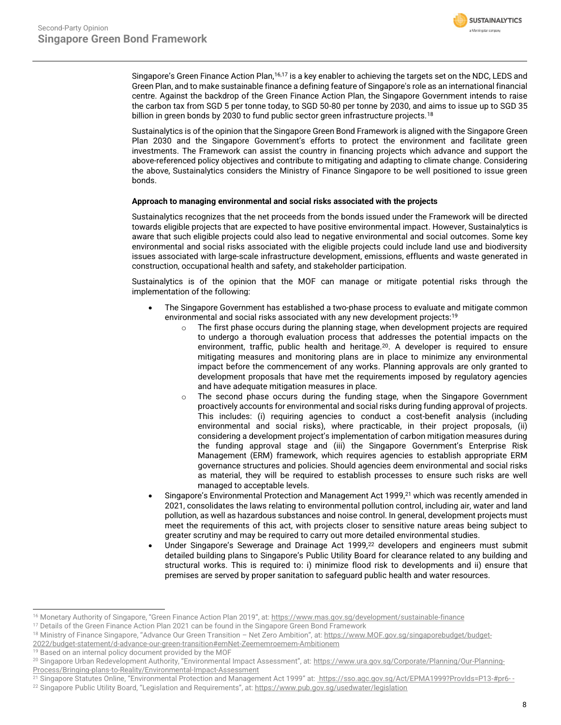

Singapore's Green Finance Action Plan,<sup>16,17</sup> is a key enabler to achieving the targets set on the NDC, LEDS and Green Plan, and to make sustainable finance a defining feature of Singapore's role as an international financial centre. Against the backdrop of the Green Finance Action Plan, the Singapore Government intends to raise the carbon tax from SGD 5 per tonne today, to SGD 50-80 per tonne by 2030, and aims to issue up to SGD 35 billion in green bonds by 2030 to fund public sector green infrastructure projects.<sup>18</sup>

Sustainalytics is of the opinion that the Singapore Green Bond Framework is aligned with the Singapore Green Plan 2030 and the Singapore Government's efforts to protect the environment and facilitate green investments. The Framework can assist the country in financing projects which advance and support the above-referenced policy objectives and contribute to mitigating and adapting to climate change. Considering the above, Sustainalytics considers the Ministry of Finance Singapore to be well positioned to issue green bonds.

## **Approach to managing environmental and social risks associated with the projects**

Sustainalytics recognizes that the net proceeds from the bonds issued under the Framework will be directed towards eligible projects that are expected to have positive environmental impact. However, Sustainalytics is aware that such eligible projects could also lead to negative environmental and social outcomes. Some key environmental and social risks associated with the eligible projects could include land use and biodiversity issues associated with large-scale infrastructure development, emissions, effluents and waste generated in construction, occupational health and safety, and stakeholder participation.

Sustainalytics is of the opinion that the MOF can manage or mitigate potential risks through the implementation of the following:

- The Singapore Government has established a two-phase process to evaluate and mitigate common environmental and social risks associated with any new development projects:<sup>19</sup>
	- o The first phase occurs during the planning stage, when development projects are required to undergo a thorough evaluation process that addresses the potential impacts on the environment, traffic, public health and heritage.<sup>20</sup>. A developer is required to ensure mitigating measures and monitoring plans are in place to minimize any environmental impact before the commencement of any works. Planning approvals are only granted to development proposals that have met the requirements imposed by regulatory agencies and have adequate mitigation measures in place.
	- $\circ$  The second phase occurs during the funding stage, when the Singapore Government proactively accounts for environmental and social risks during funding approval of projects. This includes: (i) requiring agencies to conduct a cost-benefit analysis (including environmental and social risks), where practicable, in their project proposals, (ii) considering a development project's implementation of carbon mitigation measures during the funding approval stage and (iii) the Singapore Government's Enterprise Risk Management (ERM) framework, which requires agencies to establish appropriate ERM governance structures and policies. Should agencies deem environmental and social risks as material, they will be required to establish processes to ensure such risks are well managed to acceptable levels.
- Singapore's Environmental Protection and Management Act 1999.<sup>21</sup> which was recently amended in 2021, consolidates the laws relating to environmental pollution control, including air, water and land pollution, as well as hazardous substances and noise control. In general, development projects must meet the requirements of this act, with projects closer to sensitive nature areas being subject to greater scrutiny and may be required to carry out more detailed environmental studies.
- Under Singapore's Sewerage and Drainage Act 1999,<sup>22</sup> developers and engineers must submit detailed building plans to Singapore's Public Utility Board for clearance related to any building and structural works. This is required to: i) minimize flood risk to developments and ii) ensure that premises are served by proper sanitation to safeguard public health and water resources.

<sup>&</sup>lt;sup>16</sup> Monetary Authority of Singapore, "Green Finance Action Plan 2019", at: <https://www.mas.gov.sg/development/sustainable-finance>

<sup>&</sup>lt;sup>17</sup> Details of the Green Finance Action Plan 2021 can be found in the Singapore Green Bond Framework

<sup>&</sup>lt;sup>18</sup> Ministry of Finance Singapore, "Advance Our Green Transition - Net Zero Ambition", at: [https://www.MOF.gov.sg/singaporebudget/budget-](https://www.mof.gov.sg/singaporebudget/budget-2022/budget-statement/d-advance-our-green-transition#emNet-Zeememroemem-Ambitionem)[2022/budget-statement/d-advance-our-green-transition#emNet-Zeememroemem-Ambitionem](https://www.mof.gov.sg/singaporebudget/budget-2022/budget-statement/d-advance-our-green-transition#emNet-Zeememroemem-Ambitionem)

<sup>19</sup> Based on an internal policy document provided by the MOF

<sup>&</sup>lt;sup>20</sup> Singapore Urban Redevelopment Authority, "Environmental Impact Assessment", at: [https://www.ura.gov.sg/Corporate/Planning/Our-Planning-](https://www.ura.gov.sg/Corporate/Planning/Our-Planning-Process/Bringing-plans-to-Reality/Environmental-Impact-Assessment)[Process/Bringing-plans-to-Reality/Environmental-Impact-Assessment](https://www.ura.gov.sg/Corporate/Planning/Our-Planning-Process/Bringing-plans-to-Reality/Environmental-Impact-Assessment)

<sup>&</sup>lt;sup>21</sup> Singapore Statutes Online, "Environmental Protection and Management Act 1999" at: [https://sso.agc.gov.sg/Act/EPMA1999?ProvIds=P13-#pr6-](https://sso.agc.gov.sg/Act/EPMA1999?ProvIds=P13-#pr6- -)

<sup>&</sup>lt;sup>22</sup> Singapore Public Utility Board, "Legislation and Requirements", at: <https://www.pub.gov.sg/usedwater/legislation>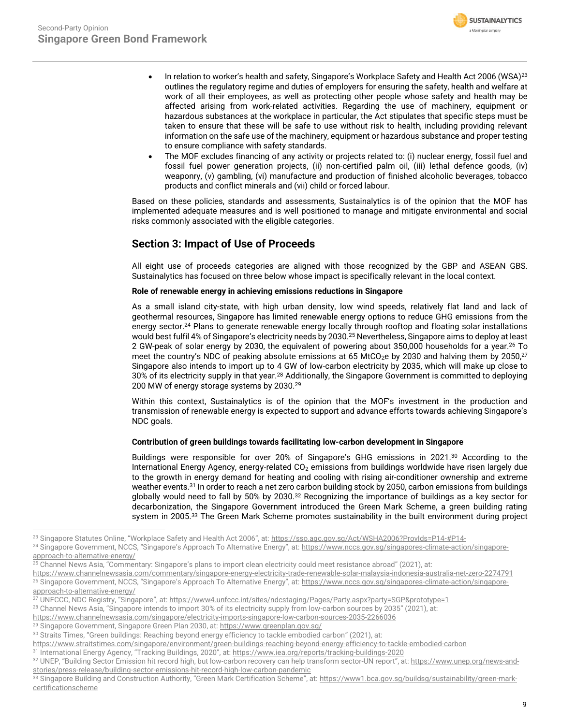

- In relation to worker's health and safety, Singapore's Workplace Safety and Health Act 2006 (WSA)<sup>23</sup> outlines the regulatory regime and duties of employers for ensuring the safety, health and welfare at work of all their employees, as well as protecting other people whose safety and health may be affected arising from work-related activities. Regarding the use of machinery, equipment or hazardous substances at the workplace in particular, the Act stipulates that specific steps must be taken to ensure that these will be safe to use without risk to health, including providing relevant information on the safe use of the machinery, equipment or hazardous substance and proper testing to ensure compliance with safety standards.
- The MOF excludes financing of any activity or projects related to: (i) nuclear energy, fossil fuel and fossil fuel power generation projects, (ii) non-certified palm oil, (iii) lethal defence goods, (iv) weaponry, (v) gambling, (vi) manufacture and production of finished alcoholic beverages, tobacco products and conflict minerals and (vii) child or forced labour.

Based on these policies, standards and assessments, Sustainalytics is of the opinion that the MOF has implemented adequate measures and is well positioned to manage and mitigate environmental and social risks commonly associated with the eligible categories.

# **Section 3: Impact of Use of Proceeds**

All eight use of proceeds categories are aligned with those recognized by the GBP and ASEAN GBS. Sustainalytics has focused on three below whose impact is specifically relevant in the local context.

# **Role of renewable energy in achieving emissions reductions in Singapore**

As a small island city-state, with high urban density, low wind speeds, relatively flat land and lack of geothermal resources, Singapore has limited renewable energy options to reduce GHG emissions from the energy sector. <sup>24</sup> Plans to generate renewable energy locally through rooftop and floating solar installations would best fulfil 4% of Singapore's electricity needs by 2030.<sup>25</sup> Nevertheless, Singapore aims to deploy at least 2 GW-peak of solar energy by 2030, the equivalent of powering about 350,000 households for a year.<sup>26</sup> To meet the country's NDC of peaking absolute emissions at 65 MtCO $_2$ e by 2030 and halving them by 2050, $^{27}$ Singapore also intends to import up to 4 GW of low-carbon electricity by 2035, which will make up close to 30% of its electricity supply in that year.<sup>28</sup> Additionally, the Singapore Government is committed to deploying 200 MW of energy storage systems by 2030.<sup>29</sup>

Within this context, Sustainalytics is of the opinion that the MOF's investment in the production and transmission of renewable energy is expected to support and advance efforts towards achieving Singapore's NDC goals.

## **Contribution of green buildings towards facilitating low-carbon development in Singapore**

Buildings were responsible for over 20% of Singapore's GHG emissions in 2021.<sup>30</sup> According to the International Energy Agency, energy-related CO<sub>2</sub> emissions from buildings worldwide have risen largely due to the growth in energy demand for heating and cooling with rising air-conditioner ownership and extreme weather events.<sup>31</sup> In order to reach a net zero carbon building stock by 2050, carbon emissions from buildings globally would need to fall by 50% by 2030.<sup>32</sup> Recognizing the importance of buildings as a key sector for decarbonization, the Singapore Government introduced the Green Mark Scheme, a green building rating system in 2005. <sup>33</sup> The Green Mark Scheme promotes sustainability in the built environment during project

<sup>&</sup>lt;sup>23</sup> Singapore Statutes Online, "Workplace Safety and Health Act 2006", at: <https://sso.agc.gov.sg/Act/WSHA2006?ProvIds=P14-#P14->

<sup>&</sup>lt;sup>24</sup> Singapore Government, NCCS, "Singapore's Approach To Alternative Energy", at: [https://www.nccs.gov.sg/singapores-climate-action/singapore](https://www.nccs.gov.sg/singapores-climate-action/singapore-approach-to-alternative-energy/)[approach-to-alternative-energy/](https://www.nccs.gov.sg/singapores-climate-action/singapore-approach-to-alternative-energy/) 

<sup>&</sup>lt;sup>25</sup> Channel News Asia, "Commentary: Singapore's plans to import clean electricity could meet resistance abroad" (2021), at:

<https://www.channelnewsasia.com/commentary/singapore-energy-electricity-trade-renewable-solar-malaysia-indonesia-australia-net-zero-2274791> <sup>26</sup> Singapore Government, NCCS, "Singapore's Approach To Alternative Energy", at: [https://www.nccs.gov.sg/singapores-climate-action/singapore](https://www.nccs.gov.sg/singapores-climate-action/singapore-approach-to-alternative-energy/)[approach-to-alternative-energy/](https://www.nccs.gov.sg/singapores-climate-action/singapore-approach-to-alternative-energy/) 

<sup>&</sup>lt;sup>27</sup> UNFCCC, NDC Registry, "Singapore", at: <https://www4.unfccc.int/sites/ndcstaging/Pages/Party.aspx?party=SGP&prototype=1>

<sup>28</sup> Channel News Asia, "Singapore intends to import 30% of its electricity supply from low-carbon sources by 2035" (2021), at:

<https://www.channelnewsasia.com/singapore/electricity-imports-singapore-low-carbon-sources-2035-2266036>

<sup>&</sup>lt;sup>29</sup> Singapore Government, Singapore Green Plan 2030, at[: https://www.greenplan.gov.sg/](https://www.greenplan.gov.sg/)

<sup>&</sup>lt;sup>30</sup> Straits Times, "Green buildings: Reaching beyond energy efficiency to tackle embodied carbon" (2021), at:

<https://www.straitstimes.com/singapore/environment/green-buildings-reaching-beyond-energy-efficiency-to-tackle-embodied-carbon>

<sup>31</sup> International Energy Agency, "Tracking Buildings, 2020", at: <https://www.iea.org/reports/tracking-buildings-2020>

<sup>32</sup> UNEP, "Building Sector Emission hit record high, but low-carbon recovery can help transform sector-UN report", at: [https://www.unep.org/news-and](https://www.unep.org/news-and-stories/press-release/building-sector-emissions-hit-record-high-low-carbon-pandemic)[stories/press-release/building-sector-emissions-hit-record-high-low-carbon-pandemic](https://www.unep.org/news-and-stories/press-release/building-sector-emissions-hit-record-high-low-carbon-pandemic)

<sup>33</sup> Singapore Building and Construction Authority, "Green Mark Certification Scheme", at: [https://www1.bca.gov.sg/buildsg/sustainability/green-mark](https://www1.bca.gov.sg/buildsg/sustainability/green-mark-certification%02scheme)[certificationscheme](https://www1.bca.gov.sg/buildsg/sustainability/green-mark-certification%02scheme)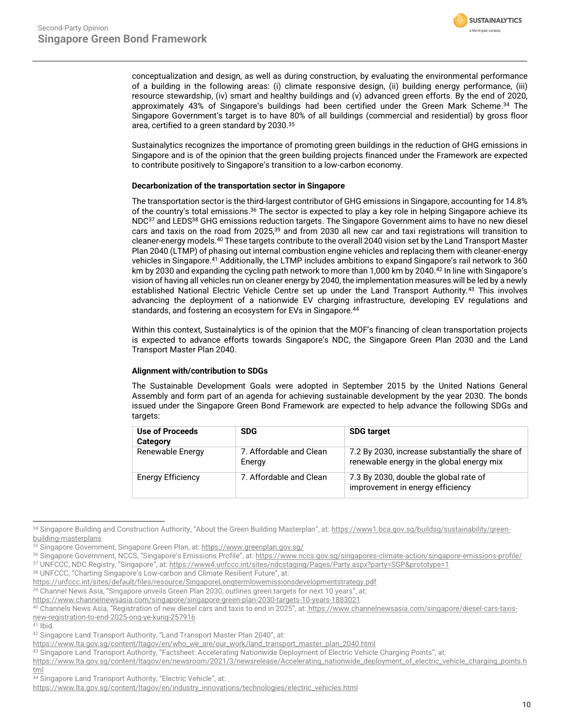

conceptualization and design, as well as during construction, by evaluating the environmental performance of a building in the following areas: (i) climate responsive design, (ii) building energy performance, (iii) resource stewardship, (iv) smart and healthy buildings and (v) advanced green efforts. By the end of 2020, approximately 43% of Singapore's buildings had been certified under the Green Mark Scheme. <sup>34</sup> The Singapore Government's target is to have 80% of all buildings (commercial and residential) by gross floor area, certified to a green standard by 2030.<sup>35</sup>

Sustainalytics recognizes the importance of promoting green buildings in the reduction of GHG emissions in Singapore and is of the opinion that the green building projects financed under the Framework are expected to contribute positively to Singapore's transition to a low-carbon economy.

# **Decarbonization of the transportation sector in Singapore**

The transportation sector is the third-largest contributor of GHG emissions in Singapore, accounting for 14.8% of the country's total emissions.<sup>36</sup> The sector is expected to play a key role in helping Singapore achieve its NDC<sup>37</sup> and LEDS<sup>38</sup> GHG emissions reduction targets. The Singapore Government aims to have no new diesel cars and taxis on the road from 2025,<sup>39</sup> and from 2030 all new car and taxi registrations will transition to cleaner-energy models.<sup>40</sup> These targets contribute to the overall 2040 vision set by the Land Transport Master Plan 2040 (LTMP) of phasing out internal combustion engine vehicles and replacing them with cleaner-energy vehicles in Singapore. <sup>41</sup> Additionally, the LTMP includes ambitions to expand Singapore's rail network to 360 km by 2030 and expanding the cycling path network to more than 1,000 km by 2040.<sup>42</sup> In line with Singapore's vision of having all vehicles run on cleaner energy by 2040, the implementation measures will be led by a newly established National Electric Vehicle Centre set up under the Land Transport Authority.<sup>43</sup> This involves advancing the deployment of a nationwide EV charging infrastructure, developing EV regulations and standards, and fostering an ecosystem for EVs in Singapore.<sup>44</sup>

Within this context, Sustainalytics is of the opinion that the MOF's financing of clean transportation projects is expected to advance efforts towards Singapore's NDC, the Singapore Green Plan 2030 and the Land Transport Master Plan 2040.

## **Alignment with/contribution to SDGs**

The Sustainable Development Goals were adopted in September 2015 by the United Nations General Assembly and form part of an agenda for achieving sustainable development by the year 2030. The bonds issued under the Singapore Green Bond Framework are expected to help advance the following SDGs and targets:

| Use of Proceeds<br><b>Category</b> | <b>SDG</b>                        | <b>SDG target</b>                                                                             |  |  |
|------------------------------------|-----------------------------------|-----------------------------------------------------------------------------------------------|--|--|
| Renewable Energy                   | 7. Affordable and Clean<br>Energy | 7.2 By 2030, increase substantially the share of<br>renewable energy in the global energy mix |  |  |
| Energy Efficiency                  | 7. Affordable and Clean           | 7.3 By 2030, double the global rate of<br>improvement in energy efficiency                    |  |  |

<sup>34</sup> Singapore Building and Construction Authority, "About the Green Building Masterplan", at: [https://www1.bca.gov.sg/buildsg/sustainability/green](https://www1.bca.gov.sg/buildsg/sustainability/green-building-masterplans)[building-masterplans](https://www1.bca.gov.sg/buildsg/sustainability/green-building-masterplans)

<sup>35</sup> Singapore Government, Singapore Green Plan, at[: https://www.greenplan.gov.sg/](https://www.greenplan.gov.sg/)

<sup>36</sup> Singapore Government, NCCS, "Singapore's Emissions Profile", at: <https://www.nccs.gov.sg/singapores-climate-action/singapore-emissions-profile/>

<sup>37</sup> UNFCCC, NDC Registry, "Singapore", at: <https://www4.unfccc.int/sites/ndcstaging/Pages/Party.aspx?party=SGP&prototype=1>

<sup>38</sup> UNFCCC, "Charting Singapore's Low-carbon and Climate Resilient Future", at:

<https://unfccc.int/sites/default/files/resource/SingaporeLongtermlowemissionsdevelopmentstrategy.pdf>

<sup>39</sup> Channel News Asia, "Singapore unveils Green Plan 2030, outlines green targets for next 10 years", at:

<https://www.channelnewsasia.com/singapore/singapore-green-plan-2030-targets-10-years-1883021>

<sup>40</sup> Channels News Asia, "Registration of new diesel cars and taxis to end in 2025", at: [https://www.channelnewsasia.com/singapore/diesel-cars-taxis](https://www.channelnewsasia.com/singapore/diesel-cars-taxis-new-registration-to-end-2025-ong-ye-kung-257916)[new-registration-to-end-2025-ong-ye-kung-257916](https://www.channelnewsasia.com/singapore/diesel-cars-taxis-new-registration-to-end-2025-ong-ye-kung-257916)

<sup>41</sup> Ibid.

<sup>42</sup> Singapore Land Transport Authority, "Land Transport Master Plan 2040", at:

[https://www.lta.gov.sg/content/ltagov/en/who\\_we\\_are/our\\_work/land\\_transport\\_master\\_plan\\_2040.html](https://www.lta.gov.sg/content/ltagov/en/who_we_are/our_work/land_transport_master_plan_2040.html)

<sup>43</sup> Singapore Land Transport Authority, "Factsheet: Accelerating Nationwide Deployment of Electric Vehicle Charging Points", at:

[https://www.lta.gov.sg/content/ltagov/en/newsroom/2021/3/newsrelease/Accelerating\\_nationwide\\_deployment\\_of\\_electric\\_vehicle\\_charging\\_points.h](https://www.lta.gov.sg/content/ltagov/en/newsroom/2021/3/newsrelease/Accelerating_nationwide_deployment_of_electric_vehicle_charging_points.html) [tml](https://www.lta.gov.sg/content/ltagov/en/newsroom/2021/3/newsrelease/Accelerating_nationwide_deployment_of_electric_vehicle_charging_points.html)

<sup>44</sup> Singapore Land Transport Authority, "Electric Vehicle", at:

[https://www.lta.gov.sg/content/ltagov/en/industry\\_innovations/technologies/electric\\_vehicles.html](https://www.lta.gov.sg/content/ltagov/en/industry_innovations/technologies/electric_vehicles.html)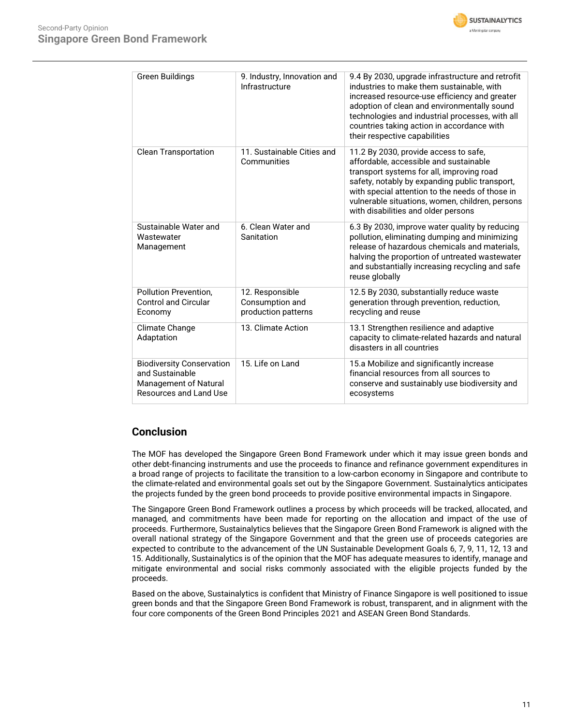



| Green Buildings                                                                                        | 9. Industry, Innovation and<br>Infrastructure             | 9.4 By 2030, upgrade infrastructure and retrofit<br>industries to make them sustainable, with<br>increased resource-use efficiency and greater<br>adoption of clean and environmentally sound<br>technologies and industrial processes, with all<br>countries taking action in accordance with<br>their respective capabilities |
|--------------------------------------------------------------------------------------------------------|-----------------------------------------------------------|---------------------------------------------------------------------------------------------------------------------------------------------------------------------------------------------------------------------------------------------------------------------------------------------------------------------------------|
| <b>Clean Transportation</b>                                                                            | 11. Sustainable Cities and<br>Communities                 | 11.2 By 2030, provide access to safe,<br>affordable, accessible and sustainable<br>transport systems for all, improving road<br>safety, notably by expanding public transport,<br>with special attention to the needs of those in<br>vulnerable situations, women, children, persons<br>with disabilities and older persons     |
| Sustainable Water and<br>Wastewater<br>Management                                                      | 6. Clean Water and<br>Sanitation                          | 6.3 By 2030, improve water quality by reducing<br>pollution, eliminating dumping and minimizing<br>release of hazardous chemicals and materials.<br>halving the proportion of untreated wastewater<br>and substantially increasing recycling and safe<br>reuse globally                                                         |
| <b>Pollution Prevention.</b><br><b>Control and Circular</b><br>Economy                                 | 12. Responsible<br>Consumption and<br>production patterns | 12.5 By 2030, substantially reduce waste<br>generation through prevention, reduction,<br>recycling and reuse                                                                                                                                                                                                                    |
| Climate Change<br>Adaptation                                                                           | 13. Climate Action                                        | 13.1 Strengthen resilience and adaptive<br>capacity to climate-related hazards and natural<br>disasters in all countries                                                                                                                                                                                                        |
| <b>Biodiversity Conservation</b><br>and Sustainable<br>Management of Natural<br>Resources and Land Use | 15. Life on Land                                          | 15.a Mobilize and significantly increase<br>financial resources from all sources to<br>conserve and sustainably use biodiversity and<br>ecosystems                                                                                                                                                                              |

# **Conclusion**

The MOF has developed the Singapore Green Bond Framework under which it may issue green bonds and other debt-financing instruments and use the proceeds to finance and refinance government expenditures in a broad range of projects to facilitate the transition to a low-carbon economy in Singapore and contribute to the climate-related and environmental goals set out by the Singapore Government. Sustainalytics anticipates the projects funded by the green bond proceeds to provide positive environmental impacts in Singapore.

The Singapore Green Bond Framework outlines a process by which proceeds will be tracked, allocated, and managed, and commitments have been made for reporting on the allocation and impact of the use of proceeds. Furthermore, Sustainalytics believes that the Singapore Green Bond Framework is aligned with the overall national strategy of the Singapore Government and that the green use of proceeds categories are expected to contribute to the advancement of the UN Sustainable Development Goals 6, 7, 9, 11, 12, 13 and 15. Additionally, Sustainalytics is of the opinion that the MOF has adequate measures to identify, manage and mitigate environmental and social risks commonly associated with the eligible projects funded by the proceeds.

Based on the above, Sustainalytics is confident that Ministry of Finance Singapore is well positioned to issue green bonds and that the Singapore Green Bond Framework is robust, transparent, and in alignment with the four core components of the Green Bond Principles 2021 and ASEAN Green Bond Standards.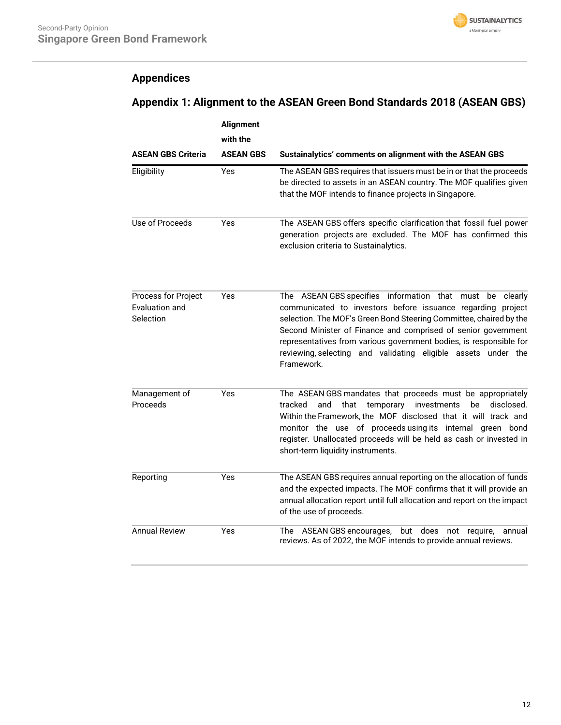

# <span id="page-11-0"></span>**Appendices**

# **Appendix 1: Alignment to the ASEAN Green Bond Standards 2018 (ASEAN GBS)**

|                                                    | <b>Alignment</b><br>with the |                                                                                                                                                                                                                                                                                                                                                                                                                        |
|----------------------------------------------------|------------------------------|------------------------------------------------------------------------------------------------------------------------------------------------------------------------------------------------------------------------------------------------------------------------------------------------------------------------------------------------------------------------------------------------------------------------|
| <b>ASEAN GBS Criteria</b>                          | <b>ASEAN GBS</b>             | Sustainalytics' comments on alignment with the ASEAN GBS                                                                                                                                                                                                                                                                                                                                                               |
| Eligibility                                        | Yes                          | The ASEAN GBS requires that issuers must be in or that the proceeds<br>be directed to assets in an ASEAN country. The MOF qualifies given<br>that the MOF intends to finance projects in Singapore.                                                                                                                                                                                                                    |
| Use of Proceeds                                    | Yes                          | The ASEAN GBS offers specific clarification that fossil fuel power<br>generation projects are excluded. The MOF has confirmed this<br>exclusion criteria to Sustainalytics.                                                                                                                                                                                                                                            |
| Process for Project<br>Evaluation and<br>Selection | Yes                          | The ASEAN GBS specifies information that must be<br>clearly<br>communicated to investors before issuance regarding project<br>selection. The MOF's Green Bond Steering Committee, chaired by the<br>Second Minister of Finance and comprised of senior government<br>representatives from various government bodies, is responsible for<br>reviewing, selecting and validating eligible assets under the<br>Framework. |
| Management of<br>Proceeds                          | Yes                          | The ASEAN GBS mandates that proceeds must be appropriately<br>tracked<br>and<br>that temporary investments<br>disclosed.<br>be<br>Within the Framework, the MOF disclosed that it will track and<br>monitor the use of proceeds using its internal green bond<br>register. Unallocated proceeds will be held as cash or invested in<br>short-term liquidity instruments.                                               |
| Reporting                                          | Yes                          | The ASEAN GBS requires annual reporting on the allocation of funds<br>and the expected impacts. The MOF confirms that it will provide an<br>annual allocation report until full allocation and report on the impact<br>of the use of proceeds.                                                                                                                                                                         |
| <b>Annual Review</b>                               | Yes                          | does not<br>ASEAN GBS encourages,<br>but<br>require,<br>The<br>annual<br>reviews. As of 2022, the MOF intends to provide annual reviews.                                                                                                                                                                                                                                                                               |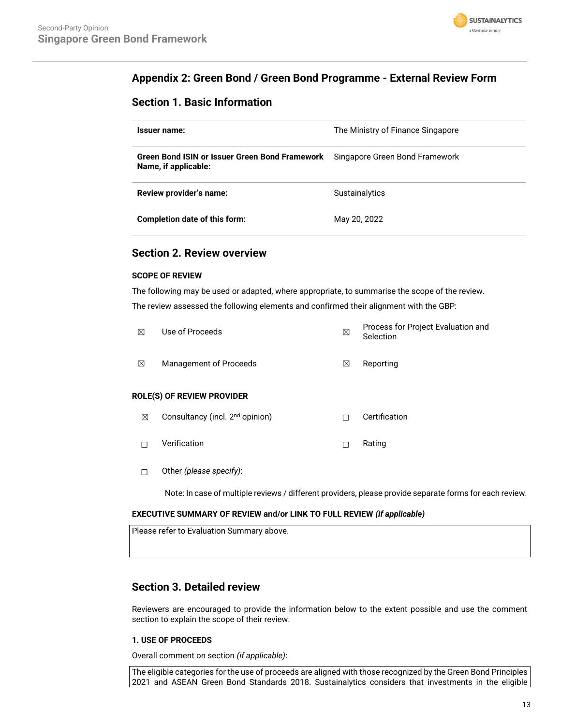

# **Appendix 2: Green Bond / Green Bond Programme - External Review Form**

# **Section 1. Basic Information**

| Issuer name:                                                           | The Ministry of Finance Singapore |
|------------------------------------------------------------------------|-----------------------------------|
| Green Bond ISIN or Issuer Green Bond Framework<br>Name, if applicable: | Singapore Green Bond Framework    |
| Review provider's name:                                                | <b>Sustainalytics</b>             |
| Completion date of this form:                                          | May 20, 2022                      |

# **Section 2. Review overview**

# **SCOPE OF REVIEW**

The following may be used or adapted, where appropriate, to summarise the scope of the review. The review assessed the following elements and confirmed their alignment with the GBP:

| ⊠           | Use of Proceeds                             | ⊠ | Process for Project Evaluation and<br>Selection |
|-------------|---------------------------------------------|---|-------------------------------------------------|
| ⊠           | <b>Management of Proceeds</b>               | ⊠ | Reporting                                       |
|             | ROLE(S) OF REVIEW PROVIDER                  |   |                                                 |
| $\boxtimes$ | Consultancy (incl. 2 <sup>nd</sup> opinion) | п | Certification                                   |
| П           | Verification                                | П | Rating                                          |
|             | Other (please specify):                     |   |                                                 |

Note: In case of multiple reviews / different providers, please provide separate forms for each review.

# **EXECUTIVE SUMMARY OF REVIEW and/or LINK TO FULL REVIEW** *(if applicable)*

| Please refer to Evaluation Summary above. |  |
|-------------------------------------------|--|
|                                           |  |

# **Section 3. Detailed review**

Reviewers are encouraged to provide the information below to the extent possible and use the comment section to explain the scope of their review.

# **1. USE OF PROCEEDS**

Overall comment on section *(if applicable)*:

The eligible categories for the use of proceeds are aligned with those recognized by the Green Bond Principles 2021 and ASEAN Green Bond Standards 2018. Sustainalytics considers that investments in the eligible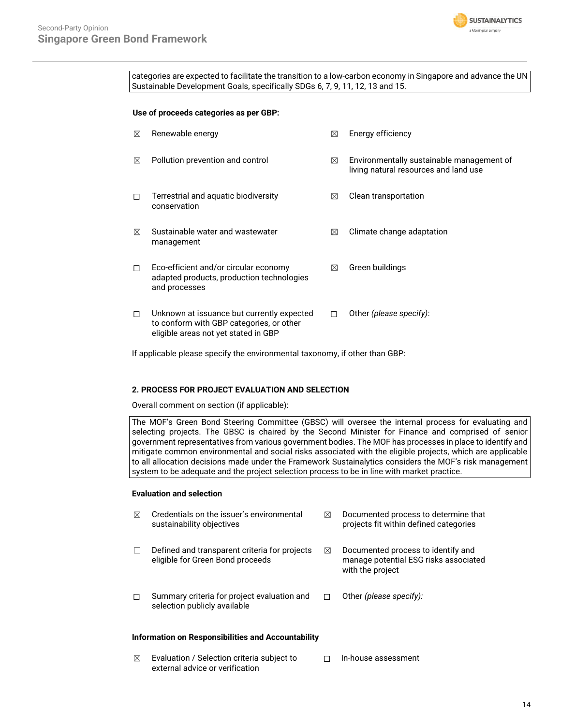

categories are expected to facilitate the transition to a low-carbon economy in Singapore and advance the UN Sustainable Development Goals, specifically SDGs 6, 7, 9, 11, 12, 13 and 15.

#### **Use of proceeds categories as per GBP:**

| ⊠ | Renewable energy                                                                                                               | ⊠ | Energy efficiency                                                                  |
|---|--------------------------------------------------------------------------------------------------------------------------------|---|------------------------------------------------------------------------------------|
| ⊠ | Pollution prevention and control                                                                                               | ⊠ | Environmentally sustainable management of<br>living natural resources and land use |
|   | Terrestrial and aquatic biodiversity<br>conservation                                                                           | ⊠ | Clean transportation                                                               |
| ⊠ | Sustainable water and wastewater<br>management                                                                                 | ⊠ | Climate change adaptation                                                          |
|   | Eco-efficient and/or circular economy<br>adapted products, production technologies<br>and processes                            | ⊠ | Green buildings                                                                    |
| П | Unknown at issuance but currently expected<br>to conform with GBP categories, or other<br>eligible areas not yet stated in GBP | п | Other (please specify):                                                            |

If applicable please specify the environmental taxonomy, if other than GBP:

# **2. PROCESS FOR PROJECT EVALUATION AND SELECTION**

Overall comment on section (if applicable):

The MOF's Green Bond Steering Committee (GBSC) will oversee the internal process for evaluating and selecting projects. The GBSC is chaired by the Second Minister for Finance and comprised of senior government representatives from various government bodies. The MOF has processes in place to identify and mitigate common environmental and social risks associated with the eligible projects, which are applicable to all allocation decisions made under the Framework Sustainalytics considers the MOF's risk management system to be adequate and the project selection process to be in line with market practice.

# **Evaluation and selection**

| ⊠      | Credentials on the issuer's environmental<br>sustainability objectives            | ⊠ | Documented process to determine that<br>projects fit within defined categories                  |
|--------|-----------------------------------------------------------------------------------|---|-------------------------------------------------------------------------------------------------|
| $\Box$ | Defined and transparent criteria for projects<br>eligible for Green Bond proceeds | ⊠ | Documented process to identify and<br>manage potential ESG risks associated<br>with the project |
| П      | Summary criteria for project evaluation and<br>selection publicly available       |   | Other (please specify):                                                                         |
|        |                                                                                   |   |                                                                                                 |

#### **Information on Responsibilities and Accountability**

 $\boxtimes$  Evaluation / Selection criteria subject to external advice or verification ☐ In-house assessment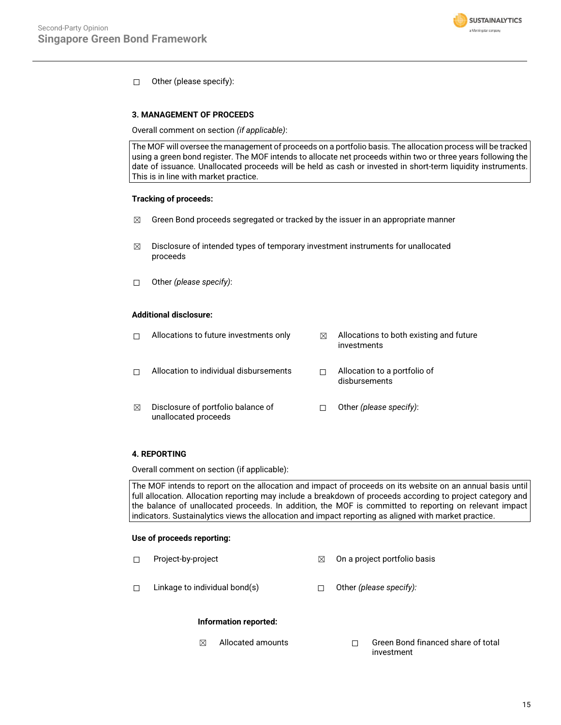

☐ Other (please specify):

## **3. MANAGEMENT OF PROCEEDS**

Overall comment on section *(if applicable)*:

The MOF will oversee the management of proceeds on a portfolio basis. The allocation process will be tracked using a green bond register. The MOF intends to allocate net proceeds within two or three years following the date of issuance. Unallocated proceeds will be held as cash or invested in short-term liquidity instruments. This is in line with market practice.

## **Tracking of proceeds:**

- $\boxtimes$  Green Bond proceeds segregated or tracked by the issuer in an appropriate manner
- ☒ Disclosure of intended types of temporary investment instruments for unallocated proceeds
- ☐ Other *(please specify)*:

# **Additional disclosure:**

|   | Allocations to future investments only                     | ⊠ | Allocations to both existing and future<br>investments |
|---|------------------------------------------------------------|---|--------------------------------------------------------|
|   | Allocation to individual disbursements                     |   | Allocation to a portfolio of<br>disbursements          |
| ⊠ | Disclosure of portfolio balance of<br>unallocated proceeds |   | Other (please specify):                                |

# **4. REPORTING**

Overall comment on section (if applicable):

The MOF intends to report on the allocation and impact of proceeds on its website on an annual basis until full allocation. Allocation reporting may include a breakdown of proceeds according to project category and the balance of unallocated proceeds. In addition, the MOF is committed to reporting on relevant impact indicators. Sustainalytics views the allocation and impact reporting as aligned with market practice.

#### **Use of proceeds reporting:**

- ☐ Project-by-project ☒ On a project portfolio basis
- ☐ Linkage to individual bond(s) ☐ Other *(please specify):*

#### **Information reported:**

☒ Allocated amounts ☐ Green Bond financed share of total investment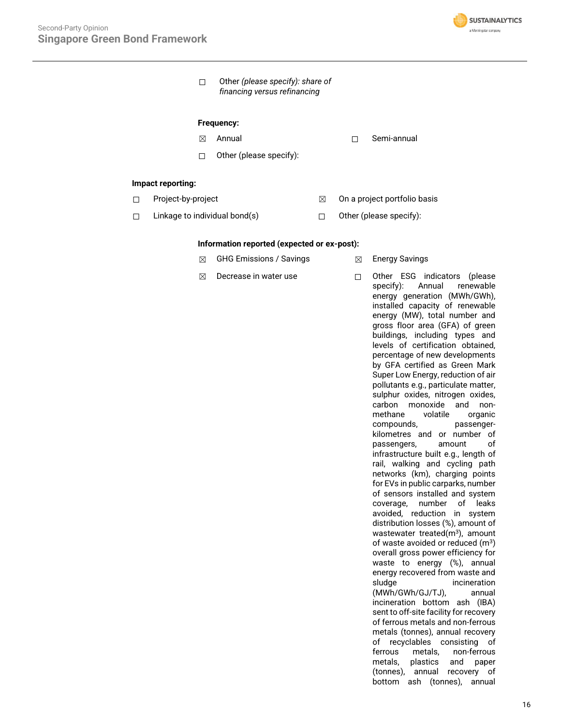

☐ Other *(please specify): share of financing versus refinancing*

#### **Frequency:**

- 
- ☐ Other (please specify):
- $\boxtimes$  Annual  $\Box$  Semi-annual

## **Impact reporting:**

- 
- ☐ Project-by-project ☒ On a project portfolio basis
- ☐ Linkage to individual bond(s) ☐ Other (please specify):
- 

## **Information reported (expected or ex-post):**

- **⊠** GHG Emissions / Savings **Ⅰ 2 Energy Savings**
- 

☒ Decrease in water use ☐ Other ESG indicators (please specify): Annual renewable energy generation (MWh/GWh), installed capacity of renewable energy (MW), total number and gross floor area (GFA) of green buildings, including types and levels of certification obtained, percentage of new developments by GFA certified as Green Mark Super Low Energy, reduction of air pollutants e.g., particulate matter, sulphur oxides, nitrogen oxides, carbon monoxide and nonmethane volatile organic compounds, passengerkilometres and or number of passengers, amount of infrastructure built e.g., length of rail, walking and cycling path networks (km), charging points for EVs in public carparks, number of sensors installed and system coverage, number of leaks avoided, reduction in system distribution losses (%), amount of wastewater treated $(m<sup>3</sup>)$ , amount of waste avoided or reduced (m<sup>3</sup>) overall gross power efficiency for waste to energy (%), annual energy recovered from waste and sludge incineration (MWh/GWh/GJ/TJ), annual incineration bottom ash (IBA) sent to off-site facility for recovery of ferrous metals and non-ferrous metals (tonnes), annual recovery of recyclables consisting of ferrous metals, non-ferrous metals, plastics and paper (tonnes), annual recovery of bottom ash (tonnes), annual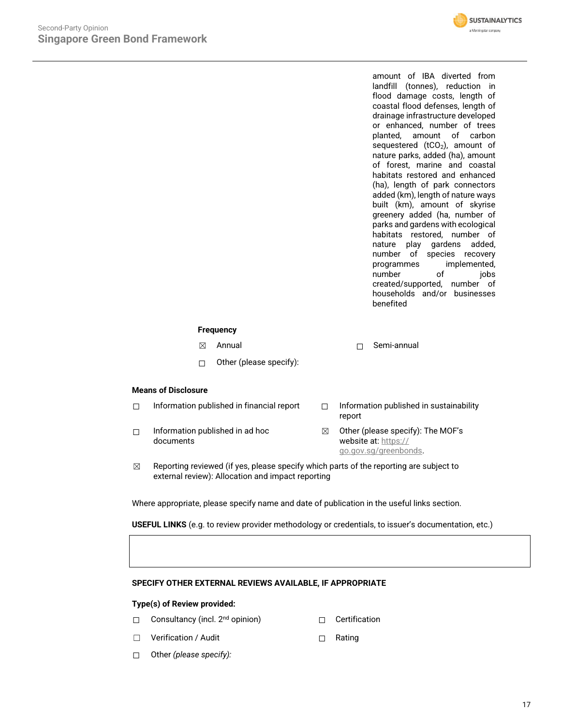

amount of IBA diverted from landfill (tonnes), reduction in flood damage costs, length of coastal flood defenses, length of drainage infrastructure developed or enhanced, number of trees planted, amount of carbon sequestered (tCO<sub>2</sub>), amount of nature parks, added (ha), amount of forest, marine and coastal habitats restored and enhanced (ha), length of park connectors added (km), length of nature ways built (km), amount of skyrise greenery added (ha, number of parks and gardens with ecological habitats restored, number of nature play gardens added, number of species recovery programmes implemented,<br>number of iobs number of created/supported, number of households and/or businesses benefited

# **Frequency**

☒ Annual ☐ Semi-annual

☐ Other (please specify):

# **Means of Disclosure**

| Information published in financial report    |   | Information published in sustainability<br>report                                  |
|----------------------------------------------|---|------------------------------------------------------------------------------------|
| Information published in ad hoc<br>documents | ⊠ | Other (please specify): The MOF's<br>website at: https://<br>go.gov.sg/greenbonds. |

 $\boxtimes$  Reporting reviewed (if yes, please specify which parts of the reporting are subject to external review): Allocation and impact reporting

Where appropriate, please specify name and date of publication in the useful links section.

**USEFUL LINKS** (e.g. to review provider methodology or credentials, to issuer's documentation, etc.)

## **SPECIFY OTHER EXTERNAL REVIEWS AVAILABLE, IF APPROPRIATE**

#### **Type(s) of Review provided:**

- □ Consultancy (incl. 2<sup>nd</sup> opinion) □ Certification
	-
- ☐ Verification / Audit ☐ Rating
- 

☐ Other *(please specify):*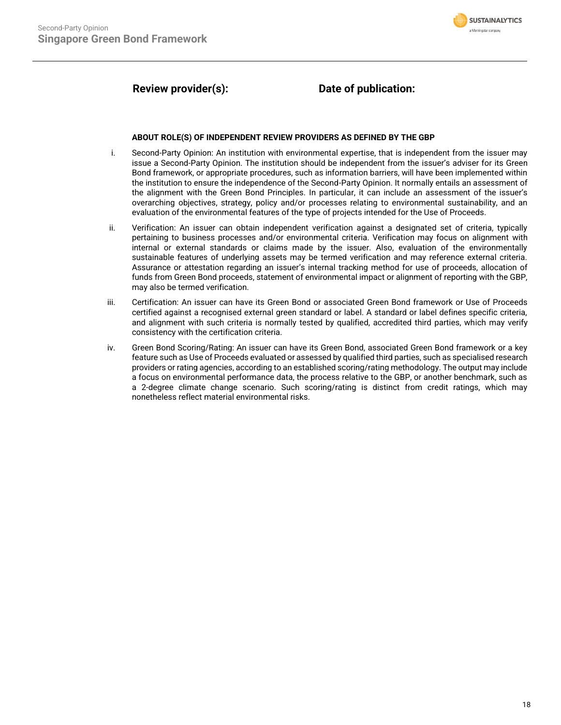

# **Review provider(s): Date of publication:**

## **ABOUT ROLE(S) OF INDEPENDENT REVIEW PROVIDERS AS DEFINED BY THE GBP**

- i. Second-Party Opinion: An institution with environmental expertise, that is independent from the issuer may issue a Second-Party Opinion. The institution should be independent from the issuer's adviser for its Green Bond framework, or appropriate procedures, such as information barriers, will have been implemented within the institution to ensure the independence of the Second-Party Opinion. It normally entails an assessment of the alignment with the Green Bond Principles. In particular, it can include an assessment of the issuer's overarching objectives, strategy, policy and/or processes relating to environmental sustainability, and an evaluation of the environmental features of the type of projects intended for the Use of Proceeds.
- ii. Verification: An issuer can obtain independent verification against a designated set of criteria, typically pertaining to business processes and/or environmental criteria. Verification may focus on alignment with internal or external standards or claims made by the issuer. Also, evaluation of the environmentally sustainable features of underlying assets may be termed verification and may reference external criteria. Assurance or attestation regarding an issuer's internal tracking method for use of proceeds, allocation of funds from Green Bond proceeds, statement of environmental impact or alignment of reporting with the GBP, may also be termed verification.
- iii. Certification: An issuer can have its Green Bond or associated Green Bond framework or Use of Proceeds certified against a recognised external green standard or label. A standard or label defines specific criteria, and alignment with such criteria is normally tested by qualified, accredited third parties, which may verify consistency with the certification criteria.
- iv. Green Bond Scoring/Rating: An issuer can have its Green Bond, associated Green Bond framework or a key feature such as Use of Proceeds evaluated or assessed by qualified third parties, such as specialised research providers or rating agencies, according to an established scoring/rating methodology. The output may include a focus on environmental performance data, the process relative to the GBP, or another benchmark, such as a 2-degree climate change scenario. Such scoring/rating is distinct from credit ratings, which may nonetheless reflect material environmental risks.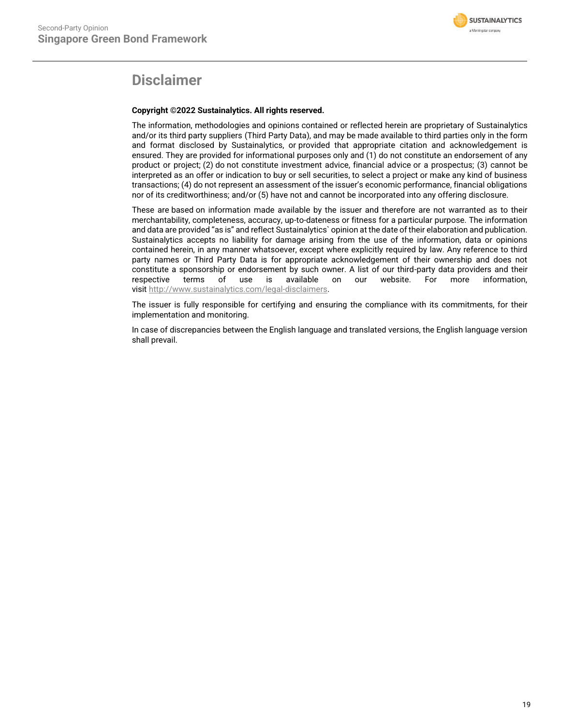

# **Disclaimer**

# **Copyright ©2022 Sustainalytics. All rights reserved.**

The information, methodologies and opinions contained or reflected herein are proprietary of Sustainalytics and/or its third party suppliers (Third Party Data), and may be made available to third parties only in the form and format disclosed by Sustainalytics, or provided that appropriate citation and acknowledgement is ensured. They are provided for informational purposes only and (1) do not constitute an endorsement of any product or project; (2) do not constitute investment advice, financial advice or a prospectus; (3) cannot be interpreted as an offer or indication to buy or sell securities, to select a project or make any kind of business transactions; (4) do not represent an assessment of the issuer's economic performance, financial obligations nor of its creditworthiness; and/or (5) have not and cannot be incorporated into any offering disclosure.

These are based on information made available by the issuer and therefore are not warranted as to their merchantability, completeness, accuracy, up-to-dateness or fitness for a particular purpose. The information and data are provided "as is" and reflect Sustainalytics` opinion at the date of their elaboration and publication. Sustainalytics accepts no liability for damage arising from the use of the information, data or opinions contained herein, in any manner whatsoever, except where explicitly required by law. Any reference to third party names or Third Party Data is for appropriate acknowledgement of their ownership and does not constitute a sponsorship or endorsement by such owner. A list of our third-party data providers and their respective terms of use is available on our website. For more information, visit [http://www.sustainalytics.com/legal-disclaimers.](http://www.sustainalytics.com/legal-disclaimers)

The issuer is fully responsible for certifying and ensuring the compliance with its commitments, for their implementation and monitoring.

In case of discrepancies between the English language and translated versions, the English language version shall prevail.